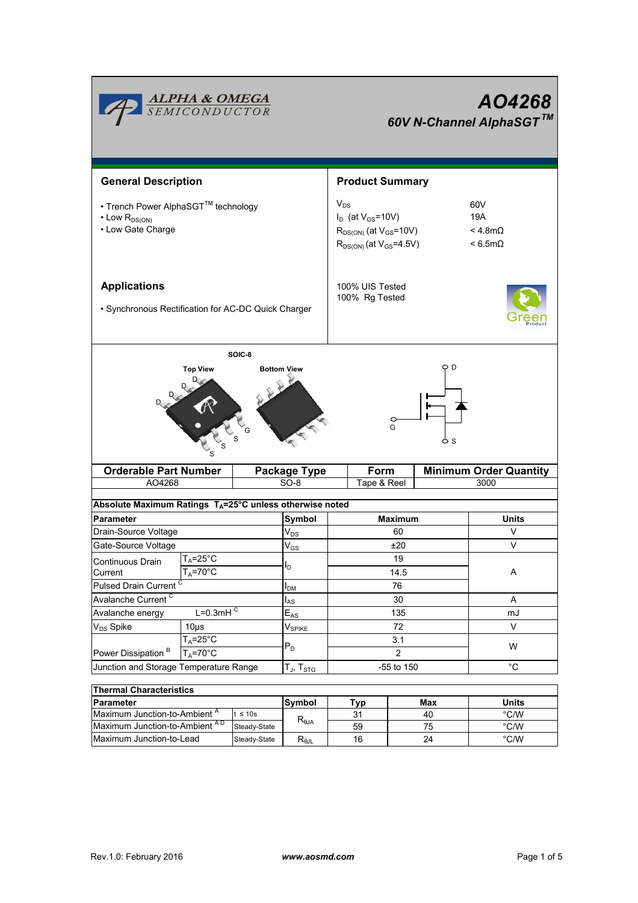|                                                                                      | <b>ALPHA &amp; OMEGA</b><br>SEMICONDUCTOR           |                                                                                                             |                                                    | AO4268<br>60V N-Channel AlphaSGT™ |                       |                                 |  |  |  |  |
|--------------------------------------------------------------------------------------|-----------------------------------------------------|-------------------------------------------------------------------------------------------------------------|----------------------------------------------------|-----------------------------------|-----------------------|---------------------------------|--|--|--|--|
| <b>General Description</b>                                                           |                                                     |                                                                                                             |                                                    | <b>Product Summary</b>            |                       |                                 |  |  |  |  |
| • Trench Power AlphaSGT™ technology<br>$\cdot$ Low $R_{DS(ON)}$<br>• Low Gate Charge |                                                     | $V_{DS}$<br>$I_D$ (at $V_{GS}$ =10V)<br>$R_{DS(ON)}$ (at $V_{GS}$ =10V)<br>$R_{DS(ON)}$ (at $V_{GS}$ =4.5V) | 60V<br>19A<br>$<$ 4.8m $\Omega$<br>$< 6.5 m\Omega$ |                                   |                       |                                 |  |  |  |  |
| <b>Applications</b><br>• Synchronous Rectification for AC-DC Quick Charger           |                                                     |                                                                                                             |                                                    | 100% UIS Tested<br>100% Rg Tested |                       |                                 |  |  |  |  |
| SOIC-8<br>O D<br><b>Top View</b><br><b>Bottom View</b><br>G                          |                                                     |                                                                                                             |                                                    |                                   |                       |                                 |  |  |  |  |
|                                                                                      |                                                     |                                                                                                             |                                                    |                                   |                       |                                 |  |  |  |  |
| <b>Orderable Part Number</b>                                                         |                                                     |                                                                                                             | <b>Package Type</b>                                | Form                              |                       | <b>Minimum Order Quantity</b>   |  |  |  |  |
| AO4268                                                                               |                                                     |                                                                                                             | SO-8                                               | Tape & Reel                       |                       | 3000                            |  |  |  |  |
| Absolute Maximum Ratings $T_A = 25^\circ \text{C}$ unless otherwise noted            |                                                     |                                                                                                             |                                                    |                                   |                       |                                 |  |  |  |  |
| <b>Parameter</b>                                                                     |                                                     |                                                                                                             |                                                    |                                   | <b>Maximum</b>        | <b>Units</b>                    |  |  |  |  |
| Drain-Source Voltage                                                                 |                                                     |                                                                                                             | Symbol                                             |                                   | 60                    | V                               |  |  |  |  |
| Gate-Source Voltage                                                                  |                                                     |                                                                                                             | $V_{DS}$                                           |                                   | ±20                   | V                               |  |  |  |  |
| Continuous Drain<br>Current                                                          | $T_A = 25^\circ \text{C}$<br>$T_A = 70^\circ C$     |                                                                                                             | $\rm V_{GS}$<br>I <sub>D</sub>                     |                                   | 19<br>14.5            | Α                               |  |  |  |  |
| Pulsed Drain Current <sup>C</sup>                                                    |                                                     |                                                                                                             | I <sub>DM</sub>                                    |                                   | 76                    |                                 |  |  |  |  |
| Avalanche Current <sup>C</sup>                                                       |                                                     |                                                                                                             | $I_{AS}$                                           |                                   | 30                    | Α                               |  |  |  |  |
| Avalanche energy                                                                     | $L=0.3mHC$                                          |                                                                                                             | $E_{AS}$                                           |                                   | 135                   | mJ                              |  |  |  |  |
| V <sub>DS</sub> Spike                                                                | $10\mu$ s                                           |                                                                                                             | V <sub>SPIKE</sub>                                 |                                   | 72                    | V                               |  |  |  |  |
| Power Dissipation <sup>B</sup>                                                       | $T_A = 25^\circ \overline{C}$<br>$T_A = 70^\circ C$ |                                                                                                             | $P_D$                                              |                                   | 3.1<br>$\overline{2}$ | W                               |  |  |  |  |
| Junction and Storage Temperature Range                                               |                                                     |                                                                                                             | $T_J$ , $T_{STG}$                                  |                                   | -55 to 150            | $^{\circ}C$                     |  |  |  |  |
|                                                                                      |                                                     |                                                                                                             |                                                    |                                   |                       |                                 |  |  |  |  |
| <b>Thermal Characteristics</b>                                                       |                                                     |                                                                                                             |                                                    |                                   |                       |                                 |  |  |  |  |
| Parameter                                                                            |                                                     |                                                                                                             | Symbol                                             | <b>Typ</b>                        | <b>Max</b>            | <b>Units</b>                    |  |  |  |  |
| Maximum Junction-to-Ambient <sup>A</sup><br>Maximum Junction-to-Ambient AD           |                                                     | $t \leq 10s$<br>Steady-State                                                                                | $R_{\theta$ JA                                     | 31<br>59                          | 40<br>75              | $^{\circ}$ C/W<br>$\degree$ C/W |  |  |  |  |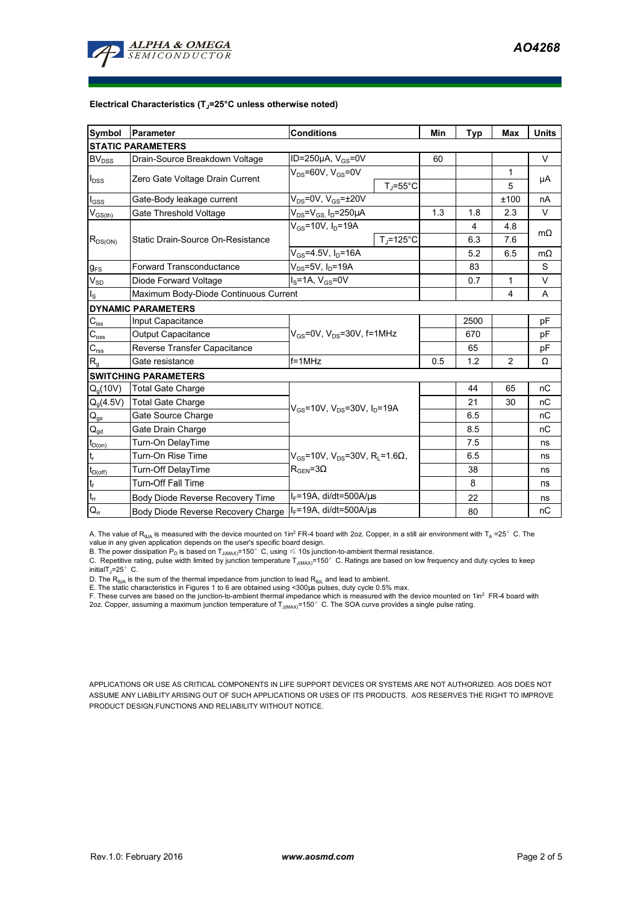

#### **Electrical Characteristics (TJ=25°C unless otherwise noted)**

| Symbol                               | Parameter                             | <b>Conditions</b>                                                                                 |                     |     | <b>Typ</b> | Max            | <b>Units</b> |  |  |  |  |  |
|--------------------------------------|---------------------------------------|---------------------------------------------------------------------------------------------------|---------------------|-----|------------|----------------|--------------|--|--|--|--|--|
| <b>STATIC PARAMETERS</b>             |                                       |                                                                                                   |                     |     |            |                |              |  |  |  |  |  |
| <b>BV</b> <sub>DSS</sub>             | Drain-Source Breakdown Voltage        | ID=250 $\mu$ A, V <sub>GS</sub> =0V                                                               |                     | 60  |            |                | $\vee$       |  |  |  |  |  |
| $I_{DSS}$                            |                                       | $V_{DS}$ =60V, $V_{GS}$ =0V                                                                       |                     |     |            | 1              |              |  |  |  |  |  |
|                                      | Zero Gate Voltage Drain Current       |                                                                                                   | $T_J = 55^{\circ}C$ |     |            | 5              | μA           |  |  |  |  |  |
| $I_{\rm GSS}$                        | Gate-Body leakage current             | $V_{DS}$ =0V, $V_{GS}$ = $\pm$ 20V                                                                |                     |     |            | ±100           | nA           |  |  |  |  |  |
| $V_{GS(th)}$                         | Gate Threshold Voltage                | $V_{DS} = V_{GS} I_D = 250 \mu A$                                                                 |                     | 1.3 | 1.8        | 2.3            | V            |  |  |  |  |  |
| $R_{DS(ON)}$                         |                                       | $V_{GS}$ =10V, $I_D$ =19A                                                                         |                     |     | 4          | 4.8            | $m\Omega$    |  |  |  |  |  |
|                                      | Static Drain-Source On-Resistance     |                                                                                                   | $T_J = 125$ °C      |     | 6.3        | 7.6            |              |  |  |  |  |  |
|                                      |                                       | $V_{GS} = 4.5V, I_D = 16A$                                                                        |                     |     | 5.2        | 6.5            | $m\Omega$    |  |  |  |  |  |
| $g_{FS}$                             | <b>Forward Transconductance</b>       | $V_{DS}$ =5V, $I_D$ =19A                                                                          |                     |     | 83         |                | S            |  |  |  |  |  |
| $V_{SD}$                             | Diode Forward Voltage                 | $I_S = 1A$ , $V_{GS} = 0V$                                                                        |                     |     | 0.7        | 1              | V            |  |  |  |  |  |
| ls                                   | Maximum Body-Diode Continuous Current |                                                                                                   |                     |     |            | $\overline{4}$ | A            |  |  |  |  |  |
|                                      | <b>DYNAMIC PARAMETERS</b>             |                                                                                                   |                     |     |            |                |              |  |  |  |  |  |
| $C_{\text{iss}}$                     | Input Capacitance                     | $V_{GS}$ =0V, $V_{DS}$ =30V, f=1MHz                                                               |                     |     | 2500       |                | pF           |  |  |  |  |  |
| $C_{\rm oss}$                        | <b>Output Capacitance</b>             |                                                                                                   |                     |     | 670        |                | рF           |  |  |  |  |  |
| $C_{\rm rss}$                        | Reverse Transfer Capacitance          |                                                                                                   |                     |     | 65         |                | pF           |  |  |  |  |  |
| R <sub>g</sub>                       | Gate resistance                       | $f = 1$ MHz                                                                                       |                     | 0.5 | 1.2        | 2              | Ω            |  |  |  |  |  |
|                                      | <b>SWITCHING PARAMETERS</b>           |                                                                                                   |                     |     |            |                |              |  |  |  |  |  |
| $Q_q(10V)$                           | <b>Total Gate Charge</b>              | $V_{GS}$ =10V, $V_{DS}$ =30V, $I_{D}$ =19A                                                        |                     |     | 44         | 65             | nC           |  |  |  |  |  |
| $Q_g(4.5V)$                          | <b>Total Gate Charge</b>              |                                                                                                   |                     |     | 21         | 30             | nC           |  |  |  |  |  |
| $Q_{gs}$                             | Gate Source Charge                    |                                                                                                   |                     |     | 6.5        |                | nC           |  |  |  |  |  |
| $\mathsf{Q}_{\underline{\text{gd}}}$ | Gate Drain Charge                     |                                                                                                   |                     |     | 8.5        |                | nC           |  |  |  |  |  |
| $t_{D(0n)}$                          | Turn-On DelayTime                     | $V_{GS}$ =10V, V <sub>DS</sub> =30V, R <sub>1</sub> =1.6 $\Omega$ ,<br>$R_{\text{GEN}} = 3\Omega$ |                     |     | 7.5        |                | ns           |  |  |  |  |  |
|                                      | Turn-On Rise Time                     |                                                                                                   |                     |     | 6.5        |                | ns           |  |  |  |  |  |
| $t_{D(off)}$                         | Turn-Off DelayTime                    |                                                                                                   |                     |     | 38         |                | ns           |  |  |  |  |  |
| $\mathfrak{t}_{\mathsf{f}}$          | <b>Turn-Off Fall Time</b>             |                                                                                                   |                     |     | 8          |                | ns           |  |  |  |  |  |
| $t_{rr}$                             | Body Diode Reverse Recovery Time      | $I_F$ =19A, di/dt=500A/ $\mu$ s                                                                   |                     |     | 22         |                | ns           |  |  |  |  |  |
| $\mathsf{Q}_{\mathsf{r}\mathsf{r}}$  | Body Diode Reverse Recovery Charge    | $I_F$ =19A, di/dt=500A/ $\mu$ s                                                                   |                     |     | 80         |                | nC           |  |  |  |  |  |

A. The value of R<sub>BJA</sub> is measured with the device mounted on 1in<sup>2</sup> FR-4 board with 2oz. Copper, in a still air environment with T<sub>A</sub> =25° C. The value in any given application depends on the user's specific board design.

B. The power dissipation  ${\sf P}_{\sf D}$  is based on  ${\sf T}_{\sf J(MAX)}$ =150 $^\circ\,$  C, using  $\leqslant$  10s junction-to-ambient thermal resistance.

C. Repetitive rating, pulse width limited by junction temperature T<sub>J(MAX)</sub>=150°C. Ratings are based on low frequency and duty cycles to keep

initialT $\overline{I}$ =25° C.

D. The R<sub>®JA</sub> is the sum of the thermal impedance from junction to lead R<sub>®JL</sub> and lead to ambient.<br>E. The static characteristics in Figures 1 to 6 are obtained using <300µs pulses, duty cycle 0.5% max.<br>F. These curves ar

2oz. Copper, assuming a maximum junction temperature of  $T_{J(MAX)}$ =150°C. The SOA curve provides a single pulse rating.

APPLICATIONS OR USE AS CRITICAL COMPONENTS IN LIFE SUPPORT DEVICES OR SYSTEMS ARE NOT AUTHORIZED. AOS DOES NOT ASSUME ANY LIABILITY ARISING OUT OF SUCH APPLICATIONS OR USES OF ITS PRODUCTS. AOS RESERVES THE RIGHT TO IMPROVE PRODUCT DESIGN,FUNCTIONS AND RELIABILITY WITHOUT NOTICE.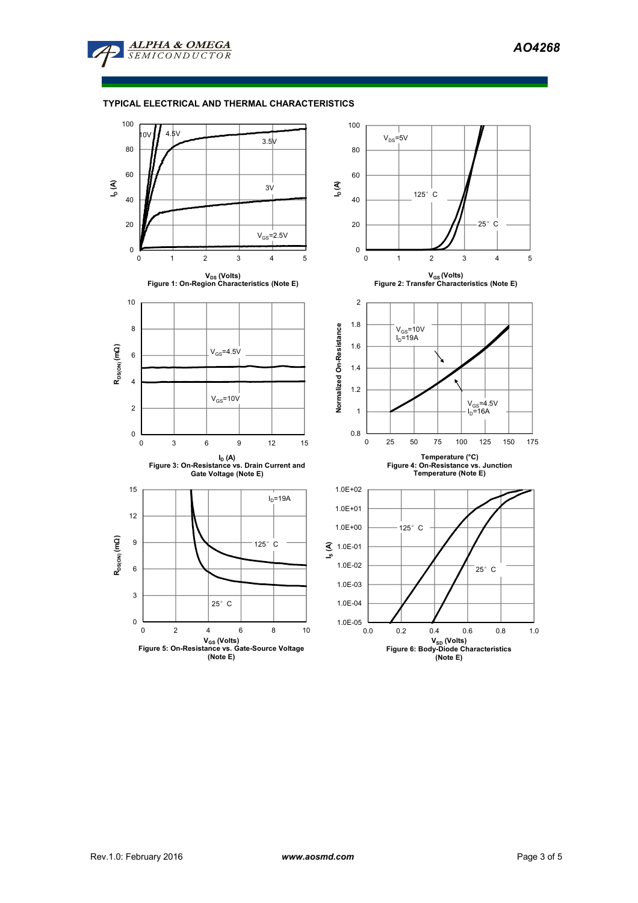

## **TYPICAL ELECTRICAL AND THERMAL CHARACTERISTICS**

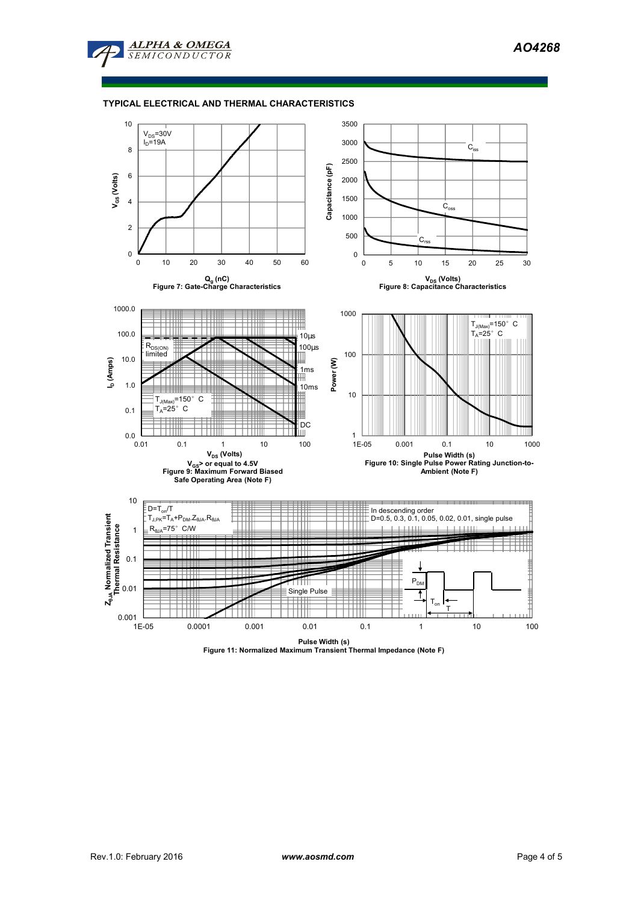

## **TYPICAL ELECTRICAL AND THERMAL CHARACTERISTICS**



**Pulse Width (s) Figure 11: Normalized Maximum Transient Thermal Impedance (Note F)**